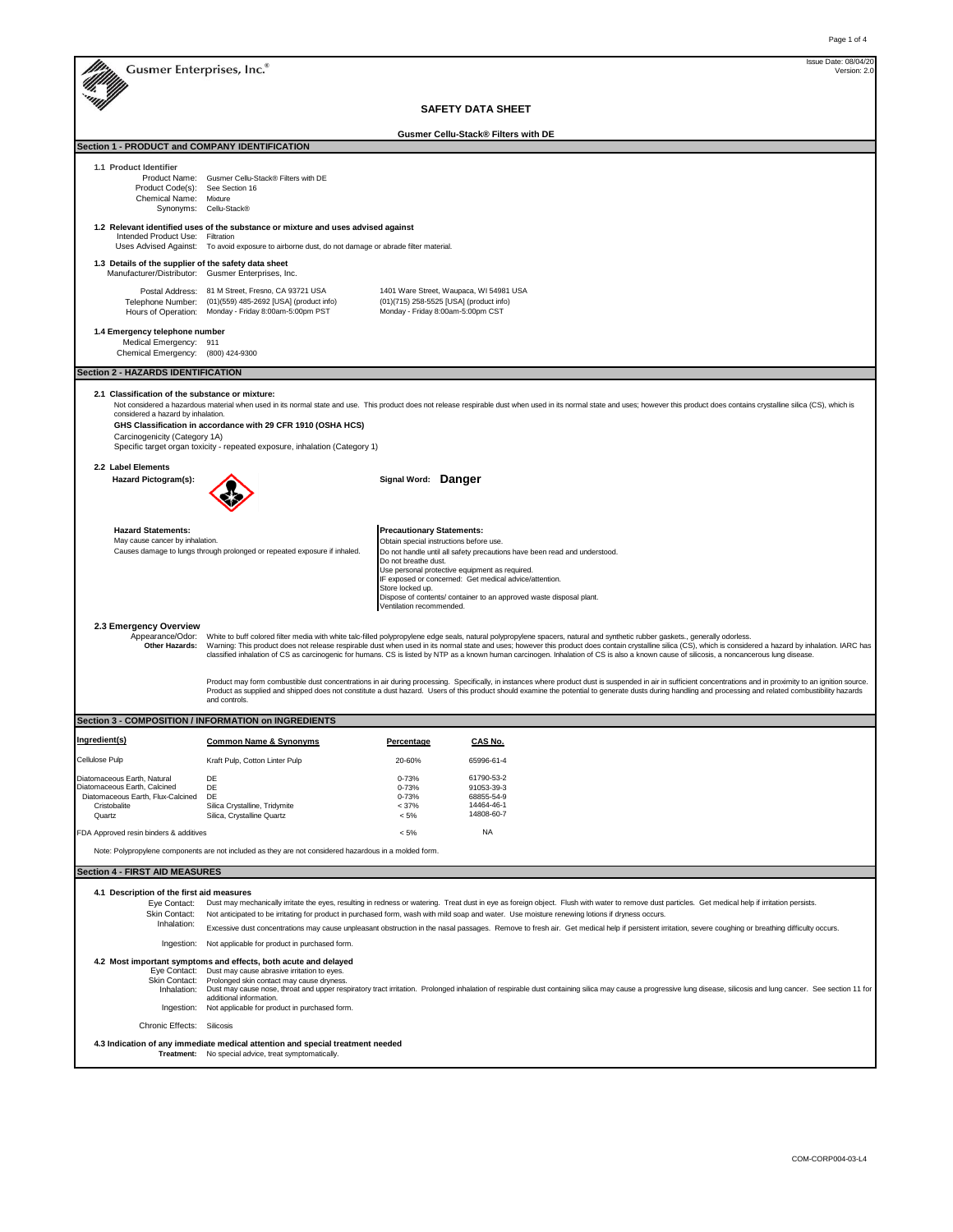|                                                                                                                            |                                                                                                                                                                                                                                                                                                                                                                                                                                                                                                                                                                                               |                                                                                                          |                                                                                                                                                     |                                                                                                                                                  | Issue Date: 08/04/20 |
|----------------------------------------------------------------------------------------------------------------------------|-----------------------------------------------------------------------------------------------------------------------------------------------------------------------------------------------------------------------------------------------------------------------------------------------------------------------------------------------------------------------------------------------------------------------------------------------------------------------------------------------------------------------------------------------------------------------------------------------|----------------------------------------------------------------------------------------------------------|-----------------------------------------------------------------------------------------------------------------------------------------------------|--------------------------------------------------------------------------------------------------------------------------------------------------|----------------------|
| Gusmer Enterprises, Inc.®                                                                                                  |                                                                                                                                                                                                                                                                                                                                                                                                                                                                                                                                                                                               |                                                                                                          |                                                                                                                                                     |                                                                                                                                                  | Version: 2.0         |
|                                                                                                                            |                                                                                                                                                                                                                                                                                                                                                                                                                                                                                                                                                                                               |                                                                                                          | <b>SAFETY DATA SHEET</b>                                                                                                                            |                                                                                                                                                  |                      |
|                                                                                                                            |                                                                                                                                                                                                                                                                                                                                                                                                                                                                                                                                                                                               |                                                                                                          | Gusmer Cellu-Stack® Filters with DE                                                                                                                 |                                                                                                                                                  |                      |
| Section 1 - PRODUCT and COMPANY IDENTIFICATION                                                                             |                                                                                                                                                                                                                                                                                                                                                                                                                                                                                                                                                                                               |                                                                                                          |                                                                                                                                                     |                                                                                                                                                  |                      |
| 1.1 Product Identifier<br>Product Code(s): See Section 16<br>Chemical Name: Mixture                                        | Product Name: Gusmer Cellu-Stack® Filters with DE<br>Synonyms: Cellu-Stack®                                                                                                                                                                                                                                                                                                                                                                                                                                                                                                                   |                                                                                                          |                                                                                                                                                     |                                                                                                                                                  |                      |
| Intended Product Use: Filtration                                                                                           | 1.2 Relevant identified uses of the substance or mixture and uses advised against<br>Uses Advised Against: To avoid exposure to airborne dust, do not damage or abrade filter material.                                                                                                                                                                                                                                                                                                                                                                                                       |                                                                                                          |                                                                                                                                                     |                                                                                                                                                  |                      |
| 1.3 Details of the supplier of the safety data sheet<br>Manufacturer/Distributor: Gusmer Enterprises, Inc.                 |                                                                                                                                                                                                                                                                                                                                                                                                                                                                                                                                                                                               |                                                                                                          |                                                                                                                                                     |                                                                                                                                                  |                      |
|                                                                                                                            | Postal Address: 81 M Street, Fresno, CA 93721 USA<br>Telephone Number: (01)(559) 485-2692 [USA] (product info)<br>Hours of Operation: Monday - Friday 8:00am-5:00pm PST                                                                                                                                                                                                                                                                                                                                                                                                                       |                                                                                                          | 1401 Ware Street, Waupaca, WI 54981 USA<br>(01)(715) 258-5525 [USA] (product info)<br>Monday - Friday 8:00am-5:00pm CST                             |                                                                                                                                                  |                      |
| 1.4 Emergency telephone number<br>Medical Emergency: 911<br>Chemical Emergency: (800) 424-9300                             |                                                                                                                                                                                                                                                                                                                                                                                                                                                                                                                                                                                               |                                                                                                          |                                                                                                                                                     |                                                                                                                                                  |                      |
| <b>Section 2 - HAZARDS IDENTIFICATION</b>                                                                                  |                                                                                                                                                                                                                                                                                                                                                                                                                                                                                                                                                                                               |                                                                                                          |                                                                                                                                                     |                                                                                                                                                  |                      |
| 2.1 Classification of the substance or mixture:<br>considered a hazard by inhalation.<br>Carcinogenicity (Category 1A)     | Not considered a hazardous material when used in its normal state and use. This product does not release respirable dust when used in its normal state and uses; however this product does contains crystalline silica (CS), w<br>GHS Classification in accordance with 29 CFR 1910 (OSHA HCS)<br>Specific target organ toxicity - repeated exposure, inhalation (Category 1)                                                                                                                                                                                                                 |                                                                                                          |                                                                                                                                                     |                                                                                                                                                  |                      |
| 2.2 Label Elements<br>Hazard Pictogram(s):                                                                                 |                                                                                                                                                                                                                                                                                                                                                                                                                                                                                                                                                                                               | Signal Word: Danger                                                                                      |                                                                                                                                                     |                                                                                                                                                  |                      |
| <b>Hazard Statements:</b><br>May cause cancer by inhalation.                                                               | Causes damage to lungs through prolonged or repeated exposure if inhaled.                                                                                                                                                                                                                                                                                                                                                                                                                                                                                                                     | <b>Precautionary Statements:</b><br>Do not breathe dust.<br>Store locked up.<br>Ventilation recommended. | Obtain special instructions before use.<br>Use personal protective equipment as required.<br>IF exposed or concerned: Get medical advice/attention. | Do not handle until all safety precautions have been read and understood.<br>Dispose of contents/ container to an approved waste disposal plant. |                      |
| 2.3 Emergency Overview<br>Appearance/Odor:<br>Other Hazards:                                                               | White to buff colored filter media with white talc-filled polypropylene edge seals, natural polypropylene spacers, natural and synthetic rubber gaskets., generally odorless.<br>Warning: This product does not release respirable dust when used in its normal state and uses; however this product does contain crystalline silica (CS), which is considered a hazard by inhalation. IARC has<br>classified inhalation of CS as carcinogenic for humans. CS is listed by NTP as a known human carcinogen. Inhalation of CS is also a known cause of silicosis, a noncancerous lung disease. |                                                                                                          |                                                                                                                                                     |                                                                                                                                                  |                      |
|                                                                                                                            | Product may form combustible dust concentrations in air during processing. Specifically, in instances where product dust is suspended in air in sufficient concentrations and in proximity to an ignition source.<br>Product as supplied and shipped does not constitute a dust hazard. Users of this product should examine the potential to generate dusts during handling and processing and related combustibility hazards<br>and controls.                                                                                                                                               |                                                                                                          |                                                                                                                                                     |                                                                                                                                                  |                      |
|                                                                                                                            | Section 3 - COMPOSITION / INFORMATION on INGREDIENTS                                                                                                                                                                                                                                                                                                                                                                                                                                                                                                                                          |                                                                                                          |                                                                                                                                                     |                                                                                                                                                  |                      |
| Ingredient(s)                                                                                                              | Common Name & Synonyms                                                                                                                                                                                                                                                                                                                                                                                                                                                                                                                                                                        | Percentage                                                                                               | <b>CAS No</b>                                                                                                                                       |                                                                                                                                                  |                      |
| Cellulose Pulp                                                                                                             | Kraft Pulp, Cotton Linter Pulp                                                                                                                                                                                                                                                                                                                                                                                                                                                                                                                                                                | 20-60%                                                                                                   | 65996-61-4                                                                                                                                          |                                                                                                                                                  |                      |
| Diatomaceous Earth, Natural<br>Diatomaceous Earth, Calcined<br>Diatomaceous Earth, Flux-Calcined<br>Cristobalite<br>Quartz | DE<br>DE<br>DE<br>Silica Crystalline, Tridymite<br>Silica, Crystalline Quartz                                                                                                                                                                                                                                                                                                                                                                                                                                                                                                                 | $0 - 73%$<br>$0 - 73%$<br>$0 - 73%$<br>$< 37\%$<br>$< 5\%$                                               | 61790-53-2<br>91053-39-3<br>68855-54-9<br>14464-46-1<br>14808-60-7                                                                                  |                                                                                                                                                  |                      |
| FDA Approved resin binders & additives                                                                                     |                                                                                                                                                                                                                                                                                                                                                                                                                                                                                                                                                                                               | $< 5\%$                                                                                                  | <b>NA</b>                                                                                                                                           |                                                                                                                                                  |                      |
|                                                                                                                            | Note: Polypropylene components are not included as they are not considered hazardous in a molded form.                                                                                                                                                                                                                                                                                                                                                                                                                                                                                        |                                                                                                          |                                                                                                                                                     |                                                                                                                                                  |                      |
| <b>Section 4 - FIRST AID MEASURES</b>                                                                                      |                                                                                                                                                                                                                                                                                                                                                                                                                                                                                                                                                                                               |                                                                                                          |                                                                                                                                                     |                                                                                                                                                  |                      |
| 4.1 Description of the first aid measures<br>Eye Contact:<br>Skin Contact:<br>Inhalation:                                  | Dust may mechanically irritate the eyes, resulting in redness or watering. Treat dust in eye as foreign object. Flush with water to remove dust particles. Get medical help if irritation persists.<br>Not anticipated to be irritating for product in purchased form, wash with mild soap and water. Use moisture renewing lotions if dryness occurs.<br>Excessive dust concentrations may cause unpleasant obstruction in the nasal passages. Remove to fresh air. Get medical help if persistent irritation, severe coughing or breathing difficulty occurs.                               |                                                                                                          |                                                                                                                                                     |                                                                                                                                                  |                      |
|                                                                                                                            | Ingestion: Not applicable for product in purchased form.                                                                                                                                                                                                                                                                                                                                                                                                                                                                                                                                      |                                                                                                          |                                                                                                                                                     |                                                                                                                                                  |                      |
| Eye Contact:<br>Skin Contact:<br>Inhalation:                                                                               | 4.2 Most important symptoms and effects, both acute and delayed<br>Dust may cause abrasive irritation to eyes.<br>Prolonged skin contact may cause dryness.<br>Dust may cause nose, throat and upper respiratory tract irritation. Prolonged inhalation of respirable dust containing silica may cause a progressive lung disease, silicosis and lung cancer. See section 11 for<br>additional information.<br>Ingestion: Not applicable for product in purchased form.                                                                                                                       |                                                                                                          |                                                                                                                                                     |                                                                                                                                                  |                      |
| Chronic Effects: Silicosis                                                                                                 |                                                                                                                                                                                                                                                                                                                                                                                                                                                                                                                                                                                               |                                                                                                          |                                                                                                                                                     |                                                                                                                                                  |                      |
|                                                                                                                            | 4.3 Indication of any immediate medical attention and special treatment needed<br>Treatment: No special advice, treat symptomatically.                                                                                                                                                                                                                                                                                                                                                                                                                                                        |                                                                                                          |                                                                                                                                                     |                                                                                                                                                  |                      |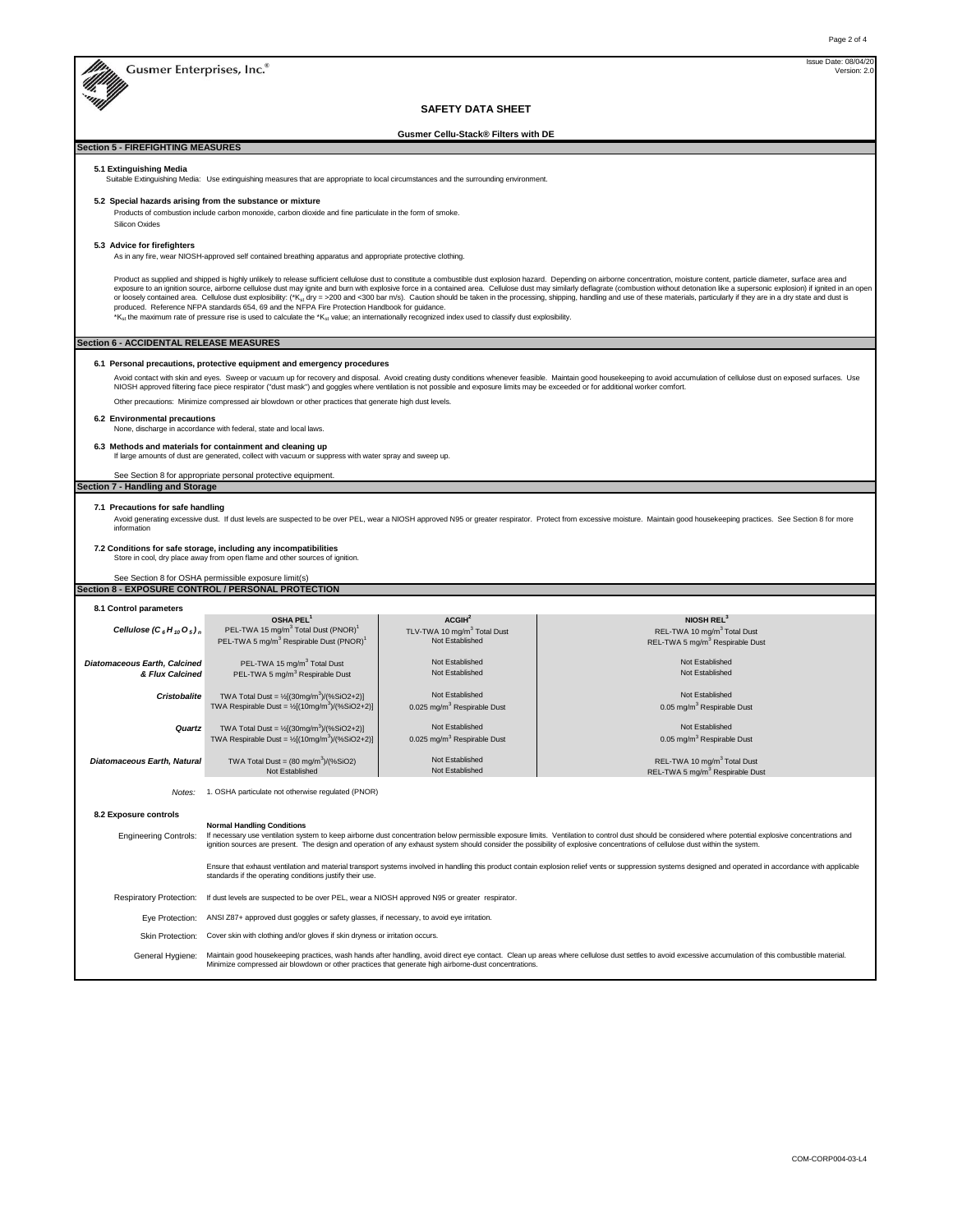Gusmer Enterprises, Inc.<sup>8</sup>

Version: 2. Issue Date: 08/0

## **SAFETY DATA SHEET**

**Gusmer Cellu-Stack® Filters with DE**

# **Section 5 - FIREFIGHTING MEASURES**

**5.1 Extinguishing Media**

Suitable Extinguishing Media: Use extinguishing measures that are appropriate to local circumstances and the surrounding environment.

## **5.2 Special hazards arising from the substance or mixture**

.<br>Products of combustion include carbon monoxide, carbon dioxide and fine particulate in the form of smoke. Silicon Oxides

## **5.3 Advice for firefighters**

As in any fire, wear NIOSH-approved self contained breathing apparatus and appropriate protective clothing.

Product as supplied and shipped is highly unlikely to release sufficient celludes dust to constitute a combustble dust explosion hazard. Depending on airbome comptration, moisture content, particle diameter, surface area a

## **Section 6 - ACCIDENTAL RELEASE MEASURES**

#### **6.1 Personal precautions, protective equipment and emergency procedures**

Avoid contact with skin and eyes. Sweep or vacuum up for recovery and disposal. Avoid creating dusty conditions whenever feasible. Maintain good housekeeping to avoid accumulation of cellulose dust on exposed surfaces. Use Other precautions: Minimize compressed air blowdown or other practices that generate high dust levels.

## **6.2 Environmental precautions**

## None, discharge in accordance with federal, state and local laws.

**6.3 Methods and materials for containment and cleaning up**

If large amounts of dust are generated, collect with vacuum or suppress with water spray and sweep up.

## See Section 8 for appropriate personal protective equipment

# **Section 7 - Handling and Storage**

## **7.1 Precautions for safe handling**

Avoid generating excessive dust. If dust levels are suspected to be over PEL, wear a NIOSH approved N95 or greater respirator. Protect from excessive moisture. Maintain good housekeeping practices. See Section 8 for more information

## **7.2 Conditions for safe storage, including any incompatibilities**

Store in cool, dry place away from open flame and other sources of ignition.

# See Section 8 for OSHA permissible exposure limit(s) **Section 8 - EXPOSURE CONTROL / PERSONAL PROTECTION**

| 8.1 Control parameters                                 |                                                                                                                                                                                                                                                                                                                                                                                                                                |                                                                                  |                                                                                                                  |  |  |
|--------------------------------------------------------|--------------------------------------------------------------------------------------------------------------------------------------------------------------------------------------------------------------------------------------------------------------------------------------------------------------------------------------------------------------------------------------------------------------------------------|----------------------------------------------------------------------------------|------------------------------------------------------------------------------------------------------------------|--|--|
| Cellulose $(C_6H_{10}O_5)_n$                           | OSHA PEL <sup>1</sup><br>PEL-TWA 15 mg/m <sup>3</sup> Total Dust (PNOR) <sup>1</sup><br>PEL-TWA 5 mg/m <sup>3</sup> Respirable Dust (PNOR) <sup>1</sup>                                                                                                                                                                                                                                                                        | ACGIH <sup>2</sup><br>TLV-TWA 10 mg/m <sup>3</sup> Total Dust<br>Not Established | NIOSH REL <sup>3</sup><br>REL-TWA 10 mg/m <sup>3</sup> Total Dust<br>REL-TWA 5 mg/m <sup>3</sup> Respirable Dust |  |  |
| <b>Diatomaceous Earth, Calcined</b><br>& Flux Calcined | PEL-TWA 15 mg/m <sup>3</sup> Total Dust<br>PEL-TWA 5 mg/m <sup>3</sup> Respirable Dust                                                                                                                                                                                                                                                                                                                                         | Not Established<br>Not Established                                               | Not Established<br>Not Established                                                                               |  |  |
| <b>Cristobalite</b>                                    | TWA Total Dust = $\frac{1}{2}[(30mg/m^3)/(96SiO2+2)]$<br>TWA Respirable Dust = $\frac{1}{2}[(10mg/m^3)/(9.5iO2+2)]$                                                                                                                                                                                                                                                                                                            | Not Established<br>0.025 mg/m <sup>3</sup> Respirable Dust                       | Not Established<br>0.05 mg/m <sup>3</sup> Respirable Dust                                                        |  |  |
| Quartz                                                 | TWA Total Dust = $\frac{1}{2}[(30mg/m^3)/(96SiO2+2)]$<br>TWA Respirable Dust = $\frac{1}{2}[(10mg/m^3)/(9.5iO2+2)]$                                                                                                                                                                                                                                                                                                            | Not Established<br>0.025 mg/m <sup>3</sup> Respirable Dust                       | Not Established<br>0.05 mg/m <sup>3</sup> Respirable Dust                                                        |  |  |
| Diatomaceous Earth, Natural                            | TWA Total Dust = $(80 \text{ mg/m}^3)/(%SiO2)$<br>Not Established                                                                                                                                                                                                                                                                                                                                                              | Not Established<br>Not Established                                               | REL-TWA 10 mg/m <sup>3</sup> Total Dust<br>REL-TWA 5 mg/m <sup>3</sup> Respirable Dust                           |  |  |
| Notes:                                                 | 1. OSHA particulate not otherwise regulated (PNOR)                                                                                                                                                                                                                                                                                                                                                                             |                                                                                  |                                                                                                                  |  |  |
| 8.2 Exposure controls                                  |                                                                                                                                                                                                                                                                                                                                                                                                                                |                                                                                  |                                                                                                                  |  |  |
| <b>Engineering Controls:</b>                           | <b>Normal Handling Conditions</b><br>If necessary use ventilation system to keep airborne dust concentration below permissible exposure limits. Ventilation to control dust should be considered where potential explosive concentrations and<br>ignition sources are present. The design and operation of any exhaust system should consider the possibility of explosive concentrations of cellulose dust within the system. |                                                                                  |                                                                                                                  |  |  |
|                                                        | Ensure that exhaust ventilation and material transport systems involved in handling this product contain explosion relief vents or suppression systems designed and operated in accordance with applicable<br>standards if the operating conditions justify their use.                                                                                                                                                         |                                                                                  |                                                                                                                  |  |  |
| <b>Respiratory Protection:</b>                         | If dust levels are suspected to be over PEL, wear a NIOSH approved N95 or greater respirator.                                                                                                                                                                                                                                                                                                                                  |                                                                                  |                                                                                                                  |  |  |
| Eve Protection:                                        | ANSI Z87+ approved dust goggles or safety glasses, if necessary, to avoid eye irritation.                                                                                                                                                                                                                                                                                                                                      |                                                                                  |                                                                                                                  |  |  |
| <b>Skin Protection:</b>                                | Cover skin with clothing and/or gloves if skin dryness or irritation occurs.                                                                                                                                                                                                                                                                                                                                                   |                                                                                  |                                                                                                                  |  |  |
| General Hygiene:                                       | Maintain good housekeeping practices, wash hands after handling, avoid direct eye contact. Clean up areas where cellulose dust settles to avoid excessive accumulation of this combustible material.<br>Minimize compressed air blowdown or other practices that generate high airborne-dust concentrations.                                                                                                                   |                                                                                  |                                                                                                                  |  |  |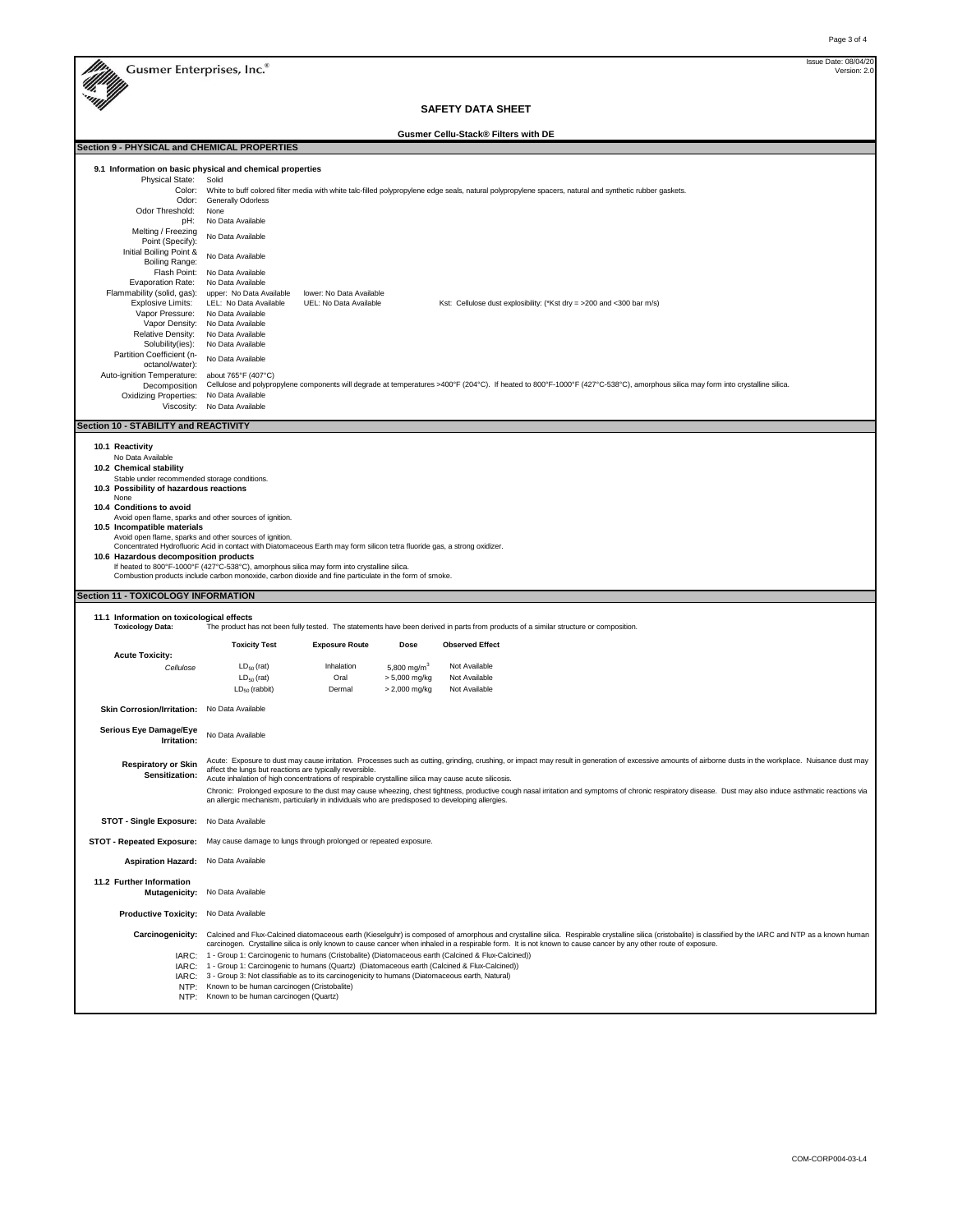M

M

**Section 9 - PHYSICAL and CHEMICAL PROPERTIES**

Version: 2.0 Issue Date: 08/04/20

**SAFETY DATA SHEET**

**Gusmer Cellu-Stack® Filters with DE**

|                                                        | 9.1 Information on basic physical and chemical properties                                                                                                                                                                                                                                                                                                                                       |  |  |  |  |  |  |  |
|--------------------------------------------------------|-------------------------------------------------------------------------------------------------------------------------------------------------------------------------------------------------------------------------------------------------------------------------------------------------------------------------------------------------------------------------------------------------|--|--|--|--|--|--|--|
| Physical State:                                        | Solid                                                                                                                                                                                                                                                                                                                                                                                           |  |  |  |  |  |  |  |
| Color:                                                 | White to buff colored filter media with white talc-filled polypropylene edge seals, natural polypropylene spacers, natural and synthetic rubber gaskets.                                                                                                                                                                                                                                        |  |  |  |  |  |  |  |
| Odor:<br>Odor Threshold:                               | Generally Odorless<br>None                                                                                                                                                                                                                                                                                                                                                                      |  |  |  |  |  |  |  |
| pH:                                                    | No Data Available                                                                                                                                                                                                                                                                                                                                                                               |  |  |  |  |  |  |  |
| Melting / Freezing<br>Point (Specify):                 | No Data Available                                                                                                                                                                                                                                                                                                                                                                               |  |  |  |  |  |  |  |
| Initial Boiling Point &<br>Boiling Range:              | No Data Available                                                                                                                                                                                                                                                                                                                                                                               |  |  |  |  |  |  |  |
| Flash Point:                                           | No Data Available                                                                                                                                                                                                                                                                                                                                                                               |  |  |  |  |  |  |  |
| Evaporation Rate:                                      | No Data Available                                                                                                                                                                                                                                                                                                                                                                               |  |  |  |  |  |  |  |
| Flammability (solid, gas):<br><b>Explosive Limits:</b> | upper: No Data Available<br>lower: No Data Available<br>UEL: No Data Available<br>LEL: No Data Available<br>Kst: Cellulose dust explosibility: (*Kst dry = >200 and <300 bar m/s)                                                                                                                                                                                                               |  |  |  |  |  |  |  |
| Vapor Pressure:                                        | No Data Available                                                                                                                                                                                                                                                                                                                                                                               |  |  |  |  |  |  |  |
| Vapor Density:                                         | No Data Available                                                                                                                                                                                                                                                                                                                                                                               |  |  |  |  |  |  |  |
| Relative Density:                                      | No Data Available<br>No Data Available                                                                                                                                                                                                                                                                                                                                                          |  |  |  |  |  |  |  |
| Solubility(ies):<br>Partition Coefficient (n-          |                                                                                                                                                                                                                                                                                                                                                                                                 |  |  |  |  |  |  |  |
| octanol/water):                                        | No Data Available                                                                                                                                                                                                                                                                                                                                                                               |  |  |  |  |  |  |  |
| Auto-ignition Temperature:                             | about 765°F (407°C)                                                                                                                                                                                                                                                                                                                                                                             |  |  |  |  |  |  |  |
| Decomposition<br><b>Oxidizing Properties:</b>          | Cellulose and polypropylene components will degrade at temperatures >400°F (204°C). If heated to 800°F-1000°F (427°C-538°C), amorphous silica may form into crystalline silica.<br>No Data Available                                                                                                                                                                                            |  |  |  |  |  |  |  |
| Viscosity:                                             | No Data Available                                                                                                                                                                                                                                                                                                                                                                               |  |  |  |  |  |  |  |
| Section 10 - STABILITY and REACTIVITY                  |                                                                                                                                                                                                                                                                                                                                                                                                 |  |  |  |  |  |  |  |
|                                                        |                                                                                                                                                                                                                                                                                                                                                                                                 |  |  |  |  |  |  |  |
| 10.1 Reactivity<br>No Data Available                   |                                                                                                                                                                                                                                                                                                                                                                                                 |  |  |  |  |  |  |  |
| 10.2 Chemical stability                                |                                                                                                                                                                                                                                                                                                                                                                                                 |  |  |  |  |  |  |  |
| Stable under recommended storage conditions.           |                                                                                                                                                                                                                                                                                                                                                                                                 |  |  |  |  |  |  |  |
| 10.3 Possibility of hazardous reactions<br>None        |                                                                                                                                                                                                                                                                                                                                                                                                 |  |  |  |  |  |  |  |
| 10.4 Conditions to avoid                               |                                                                                                                                                                                                                                                                                                                                                                                                 |  |  |  |  |  |  |  |
|                                                        | Avoid open flame, sparks and other sources of ignition.                                                                                                                                                                                                                                                                                                                                         |  |  |  |  |  |  |  |
| 10.5 Incompatible materials                            | Avoid open flame, sparks and other sources of ignition.                                                                                                                                                                                                                                                                                                                                         |  |  |  |  |  |  |  |
|                                                        | Concentrated Hydrofluoric Acid in contact with Diatomaceous Earth may form silicon tetra fluoride gas, a strong oxidizer.                                                                                                                                                                                                                                                                       |  |  |  |  |  |  |  |
|                                                        |                                                                                                                                                                                                                                                                                                                                                                                                 |  |  |  |  |  |  |  |
| 10.6 Hazardous decomposition products                  |                                                                                                                                                                                                                                                                                                                                                                                                 |  |  |  |  |  |  |  |
|                                                        | If heated to 800°F-1000°F (427°C-538°C), amorphous silica may form into crystalline silica.<br>Combustion products include carbon monoxide, carbon dioxide and fine particulate in the form of smoke.                                                                                                                                                                                           |  |  |  |  |  |  |  |
|                                                        |                                                                                                                                                                                                                                                                                                                                                                                                 |  |  |  |  |  |  |  |
| Section 11 - TOXICOLOGY INFORMATION                    |                                                                                                                                                                                                                                                                                                                                                                                                 |  |  |  |  |  |  |  |
| 11.1 Information on toxicological effects              |                                                                                                                                                                                                                                                                                                                                                                                                 |  |  |  |  |  |  |  |
| <b>Toxicology Data:</b>                                | The product has not been fully tested. The statements have been derived in parts from products of a similar structure or composition.                                                                                                                                                                                                                                                           |  |  |  |  |  |  |  |
|                                                        | <b>Toxicity Test</b><br><b>Exposure Route</b><br>Dose<br><b>Observed Effect</b>                                                                                                                                                                                                                                                                                                                 |  |  |  |  |  |  |  |
| <b>Acute Toxicity:</b>                                 |                                                                                                                                                                                                                                                                                                                                                                                                 |  |  |  |  |  |  |  |
| Cellulose                                              | $LD_{50}$ (rat)<br>Inhalation<br>Not Available<br>5,800 mg/m <sup>3</sup>                                                                                                                                                                                                                                                                                                                       |  |  |  |  |  |  |  |
|                                                        | $LD50$ (rat)<br>Oral<br>> 5,000 mg/kg<br>Not Available<br>$LD_{50}$ (rabbit)<br>Dermal<br>> 2,000 mg/kg<br>Not Available                                                                                                                                                                                                                                                                        |  |  |  |  |  |  |  |
|                                                        |                                                                                                                                                                                                                                                                                                                                                                                                 |  |  |  |  |  |  |  |
| Skin Corrosion/Irritation: No Data Available           |                                                                                                                                                                                                                                                                                                                                                                                                 |  |  |  |  |  |  |  |
| Serious Eye Damage/Eye                                 | No Data Available                                                                                                                                                                                                                                                                                                                                                                               |  |  |  |  |  |  |  |
| Irritation:                                            |                                                                                                                                                                                                                                                                                                                                                                                                 |  |  |  |  |  |  |  |
| <b>Respiratory or Skin</b>                             | Acute: Exposure to dust may cause irritation. Processes such as cutting, grinding, crushing, or impact may result in generation of excessive amounts of airborne dusts in the workplace. Nuisance dust may                                                                                                                                                                                      |  |  |  |  |  |  |  |
| Sensitization:                                         | affect the lungs but reactions are typically reversible.                                                                                                                                                                                                                                                                                                                                        |  |  |  |  |  |  |  |
|                                                        | Acute inhalation of high concentrations of respirable crystalline silica may cause acute silicosis.                                                                                                                                                                                                                                                                                             |  |  |  |  |  |  |  |
|                                                        | Chronic: Prolonged exposure to the dust may cause wheezing, chest tightness, productive cough nasal irritation and symptoms of chronic respiratory disease. Dust may also induce asthmatic reactions via<br>an allergic mechanism, particularly in individuals who are predisposed to developing allergies.                                                                                     |  |  |  |  |  |  |  |
| STOT - Single Exposure: No Data Available              |                                                                                                                                                                                                                                                                                                                                                                                                 |  |  |  |  |  |  |  |
|                                                        | STOT - Repeated Exposure: May cause damage to lungs through prolonged or repeated exposure.                                                                                                                                                                                                                                                                                                     |  |  |  |  |  |  |  |
| <b>Aspiration Hazard:</b> No Data Available            |                                                                                                                                                                                                                                                                                                                                                                                                 |  |  |  |  |  |  |  |
| 11.2 Further Information                               |                                                                                                                                                                                                                                                                                                                                                                                                 |  |  |  |  |  |  |  |
|                                                        | Mutagenicity: No Data Available                                                                                                                                                                                                                                                                                                                                                                 |  |  |  |  |  |  |  |
| Productive Toxicity: No Data Available                 |                                                                                                                                                                                                                                                                                                                                                                                                 |  |  |  |  |  |  |  |
|                                                        | Carcinogenicity: Calcined and Flux-Calcined diatomaceous earth (Kieselguhr) is composed of amorphous and crystalline silica. Respirable crystalline silica (cristobalite) is classified by the IARC and NTP as a known human<br>carcinogen. Crystalline silica is only known to cause cancer when inhaled in a respirable form. It is not known to cause cancer by any other route of exposure. |  |  |  |  |  |  |  |
|                                                        | IARC: 1 - Group 1: Carcinogenic to humans (Cristobalite) (Diatomaceous earth (Calcined & Flux-Calcined))                                                                                                                                                                                                                                                                                        |  |  |  |  |  |  |  |
| IARC:                                                  | 1 - Group 1: Carcinogenic to humans (Quartz) (Diatomaceous earth (Calcined & Flux-Calcined))                                                                                                                                                                                                                                                                                                    |  |  |  |  |  |  |  |
| NTP:<br>NTP:                                           | (ARC: 3 - Group 3: Not classifiable as to its carcinogenicity to humans (Diatomaceous earth, Natural)<br>Known to be human carcinogen (Cristobalite)<br>Known to be human carcinogen (Quartz)                                                                                                                                                                                                   |  |  |  |  |  |  |  |